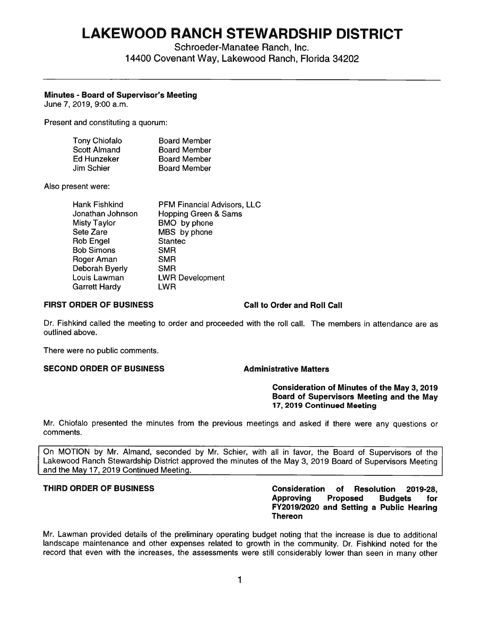# **LAKEWOOD RANCH STEWARDSHIP DISTRICT**

Schroeder-Manatee Ranch, Inc. 14400 Covenant Way, Lakewood Ranch, Florida 34202

# **Minutes** - **Board of Supervisor's Meeting**

June 7, 2019, 9:00 a.m.

Present and constituting a quorum:

| <b>Tony Chiofalo</b> | <b>Board Member</b> |
|----------------------|---------------------|
| <b>Scott Almand</b>  | <b>Board Member</b> |
| Ed Hunzeker          | <b>Board Member</b> |
| Jim Schier           | <b>Board Member</b> |

Also present were:

| <b>Hank Fishkind</b> | <b>PFM Financial Advisors, LLC</b> |
|----------------------|------------------------------------|
| Jonathan Johnson     | <b>Hopping Green &amp; Sams</b>    |
| <b>Misty Taylor</b>  | BMO by phone                       |
| Sete Zare            | MBS by phone                       |
| <b>Rob Engel</b>     | <b>Stantec</b>                     |
| <b>Bob Simons</b>    | <b>SMR</b>                         |
| Roger Aman           | <b>SMR</b>                         |
| Deborah Byerly       | <b>SMR</b>                         |
| Louis Lawman         | <b>LWR Development</b>             |
| <b>Garrett Hardy</b> | <b>LWR</b>                         |

### **FIRST ORDER OF BUSINESS Call to Order and Roll Call**

Dr. Fishkind called the meeting to order and proceeded with the roll call. The members in attendance are as outlined above.

There were no public comments.

# **SECOND ORDER OF BUSINESS Administrative Matters**

# **Consideration of Minutes of the May 3, 2019 Board of Supervisors Meeting and the May 17, 2019 Continued Meeting**

Mr. Chiofalo presented the minutes from the previous meetings and asked if there were any questions or comments.

On MOTION by Mr. Almand, seconded by Mr. Schier, with all in favor, the Board of Supervisors of the Lakewood Ranch Stewardship District approved the minutes of the May 3, 2019 Board of Supervisors Meeting and the May 17, 2019 Continued Meeting.

**THIRD ORDER OF BUSINESS Consideration of Resolution 2019-28, Approving Proposed Budgets for FY2019/2020 and Setting a Public Hearing Thereon** 

Mr. Lawman provided details of the preliminary operating budget noting that the increase is due to additional landscape maintenance and other expenses related to growth in the community. Dr. Fishkind noted for the record that even with the increases, the assessments were still considerably lower than seen in many other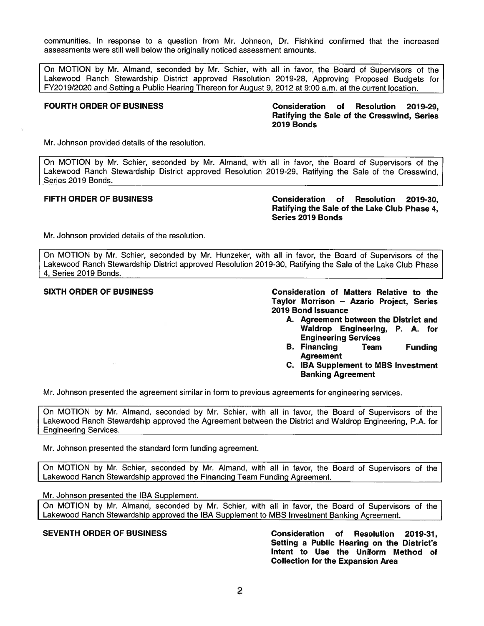communities. In response to a question from Mr. Johnson, Dr. Fishkind confirmed that the increased assessments were still well below the originally noticed assessment amounts.

On MOTION by Mr. Almand, seconded by Mr. Schier, with all in favor, the Board of Supervisors of the Lakewood Ranch Stewardship District approved Resolution 2019-28, Approving Proposed Budgets for FY2019/2020 and Settinq a Public Hearinq Thereon for August 9, 2012 at 9:00 a.m. at the current location.

**FOURTH ORDER OF BUSINESS Consideration of Resolution 2019-29, Ratifying the Sale of the Cresswind, Series 2019 Bonds** 

Mr. Johnson provided details of the resolution.

On MOTION by Mr. Schier, seconded by Mr. Almand, with all in favor, the Board of Supervisors of the Lakewood Ranch Stewardship District approved Resolution 2019-29, Ratifying the Sale of the Cresswind, Series 2019 Bonds.

**FIFTH ORDER OF BUSINESS Consideration of Resolution 2019-30, Ratifying the Sale of the Lake Club Phase 4, Series 2019 Bonds** 

Mr. Johnson provided details of the resolution.

On MOTION by Mr. Schier, seconded by Mr. Hunzeker, with all in favor, the Board of Supervisors of the Lakewood Ranch Stewardship District approved Resolution 2019-30, Ratifying the Sale of the Lake Club Phase 4, Series 2019 Bonds.

**SIXTH ORDER OF BUSINESS Consideration of Matters Relative to the Taylor Morrison** - **Azario Project, Series 2019 Bond Issuance** 

- **A. Agreement between the District and Waldrop Engineering, P. A. for Engineering Services**
- **B. Financing Team Funding Agreement**
- **C. IBA Supplement to MBS Investment Banking Agreement**

Mr. Johnson presented the agreement similar in form to previous agreements for engineering services.

On MOTION by Mr. Almand, seconded by Mr. Schier, with all in favor, the Board of Supervisors of the Lakewood Ranch Stewardship approved the Agreement between the District and Waldrop Engineering, **P.A.** for Engineering Services.

Mr. Johnson presented the standard form funding agreement.

On MOTION by Mr. Schier, seconded by Mr. Almand, with all in favor, the Board of Supervisors of the Lakewood Ranch Stewardship approved the Financing Team Funding Agreement.

Mr. Johnson presented the IBA Supplement.

On MOTION by Mr. Almand, seconded by Mr. Schier, with all in favor, the Board of Supervisors of the Lakewood Ranch Stewardship approved the IBA Supplement to MBS Investment Banking Agreement.

**SEVENTH ORDER OF BUSINESS Consideration of Resolution 2019-31, Setting a Public Hearing on the District's Intent to Use the Uniform Method of Collection for the Expansion Area**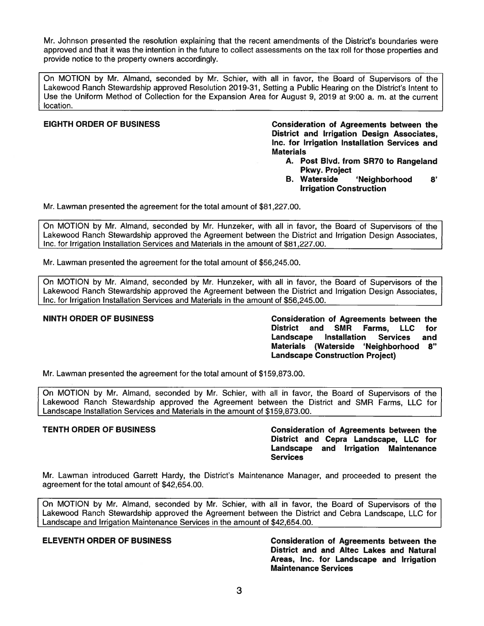Mr. Johnson presented the resolution explaining that the recent amendments of the District's boundaries were approved and that it was the intention in the future to collect assessments on the tax roll for those properties and provide notice to the property owners accordingly.

On MOTION by Mr. Almand, seconded by Mr. Schier, with all in favor, the Board of Supervisors of the Lakewood Ranch Stewardship approved Resolution 2019-31, Setting a Public Hearing on the District's Intent to Use the Uniform Method of Collection for the Expansion Area for August 9, 2019 at 9:00 a. m. at the current location.

**EIGHTH ORDER OF BUSINESS Consideration of Agreements between the District and Irrigation Design Associates, Inc. for Irrigation Installation Services and Materials** 

- **A. Post Blvd. from SR70 to Rangeland Pkwy. Project**
- **B. Waterside 'Neighborhood 8' Irrigation Construction**

Mr. Lawman presented the agreement for the total amount of \$[81,227.00](https://81,227.00).

On MOTION by Mr. Almand, seconded by Mr. Hunzeker, with all in favor, the Board of Supervisors of the Lakewood Ranch Stewardship approved the Agreement between the District and Irrigation Design Associates, Inc. for Irrigation Installation Services and Materials in the amount of \$[81,227.00](https://81,227.00).

Mr. Lawman presented the agreement for the total amount of \$[56,245.00](https://56,245.00).

On MOTION by Mr. Almand, seconded by Mr. Hunzeker, with all in favor, the Board of Supervisors of the Lakewood Ranch Stewardship approved the Agreement between the District and Irrigation Design Associates, Inc. for Irrigation Installation Services and Materials in the amount of \$[56,245.00](https://56,245.00).

**NINTH ORDER OF BUSINESS Consideration of Agreements between the District and SMR Farms, LLC for Landscape Installation Services and Materials (Waterside 'Neighborhood 8" Landscape Construction Project)** 

Mr. Lawman presented the agreement for the total amount of \$[159,873.00](https://159,873.00).

On MOTION by Mr. Almand, seconded by Mr. Schier, with all in favor, the Board of Supervisors of the Lakewood Ranch Stewardship approved the Agreement between the District and SMR Farms, LLC for Landscape Installation Services and Materials in the amount of [\\$159,873.00](https://159,873.00).

**TENTH ORDER OF BUSINESS Consideration of Agreements between the District and Cepra Landscape, LLC for Landscape and Irrigation Maintenance Services** 

Mr. Lawman introduced Garrett Hardy, the District's Maintenance Manager, and proceeded to present the agreement for the total amount of [\\$42,654.00](https://42,654.00).

On MOTION by Mr. Almand, seconded by Mr. Schier, with all in favor, the Board of Supervisors of the Lakewood Ranch Stewardship approved the Agreement between the District and Cebra Landscape, LLC for Landscape and Irrigation Maintenance Services in the amount of \$[42,654.00](https://42,654.00).

**ELEVENTH ORDER OF BUSINESS Consideration of Agreements between the District and and Altec Lakes and Natural Areas, Inc. for Landscape and Irrigation Maintenance Services**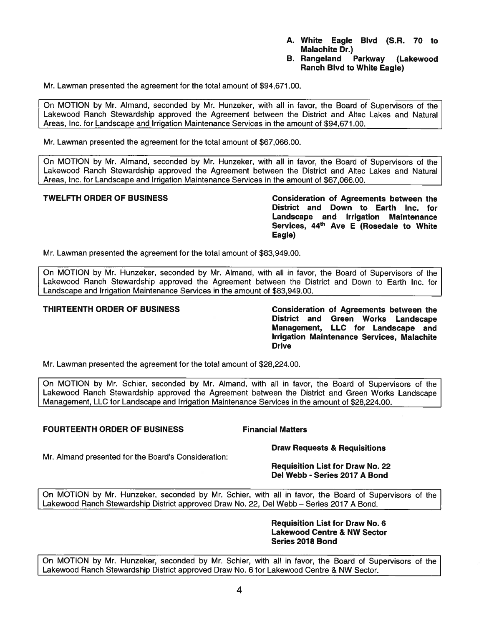- **A. White Eagle Blvd (S.R. 70 to Malachite Dr.)**
- **B. Rangeland Parkway (Lakewood Ranch Blvd to White Eagle)**

Mr. Lawman presented the agreement for the total amount of \$[94,671.00](https://94,671.00).

On MOTION by Mr. Almand, seconded by Mr. Hunzeker, with all in favor, the Board of Supervisors of the Lakewood Ranch Stewardship approved the Agreement between the District and Altec Lakes and Natural Areas, Inc. for Landscape and Irrigation Maintenance Services in the amount of [\\$94,671.00](https://94,671.00).

Mr. Lawman presented the agreement for the total amount of \$[67,066.00](https://67,066.00).

On MOTION by Mr. Almand, seconded by Mr. Hunzeker, with all in favor, the Board of Supervisors of the Lakewood Ranch Stewardship approved the Agreement between the District and Altec Lakes and Natural Areas, Inc. for Landscape and Irrigation Maintenance Services in the amount of \$[67,066.00](https://67,066.00).

**TWELFTH ORDER OF BUSINESS Consideration of Agreements between the District and Down to Earth Inc. for Landscape and Irrigation Maintenance <sup>44</sup> Services, th Ave E (Rosedale to White Eagle)** 

Mr. Lawman presented the agreement for the total amount of \$[83,949.00](https://83,949.00).

On MOTION by Mr. Hunzeker, seconded by Mr. Almand, with all in favor, the Board of Supervisors of the Lakewood Ranch Stewardship approved the Agreement between the District and Down to Earth Inc. for Landscape and Irrigation Maintenance Services in the amount of [\\$83,949.00](https://83,949.00).

**THIRTEENTH ORDER OF BUSINESS Consideration of Agreements between the District and Green Works Landscape Management, LLC for Landscape and Irrigation Maintenance Services, Malachite Drive** 

Mr. Lawman presented the agreement for the total amount of [\\$28,224.00](https://28,224.00).

On MOTION by Mr. Schier, seconded by Mr. Almand, with all in favor, the Board of Supervisors of the Lakewood Ranch Stewardship approved the Agreement between the District and Green Works Landscape Management, LLC for Landscape and Irrigation Maintenance Services in the amount of [\\$28,224.00](https://28,224.00).

### **FOURTEENTH ORDER OF BUSINESS Financial Matters**

**Draw Requests & Requisitions** 

Mr. Almand presented for the Board's Consideration:

### **Requisition List for Draw No. 22 Del Webb - Series 2017 A Bond**

On MOTION by Mr. Hunzeker, seconded by Mr. Schier, with all in favor, the Board of Supervisors of the Lakewood Ranch Stewardship District approved Draw No. 22, Del Webb - Series 2017 A Bond.

### **Requisition List for Draw No. 6 Lakewood Centre & NW Sector Series 2018 Bond**

On MOTION by Mr. Hunzeker, seconded by Mr. Schier, with all in favor, the Board of Supervisors of the Lakewood Ranch Stewardship District approved Draw No. 6 for Lakewood Centre & NW Sector.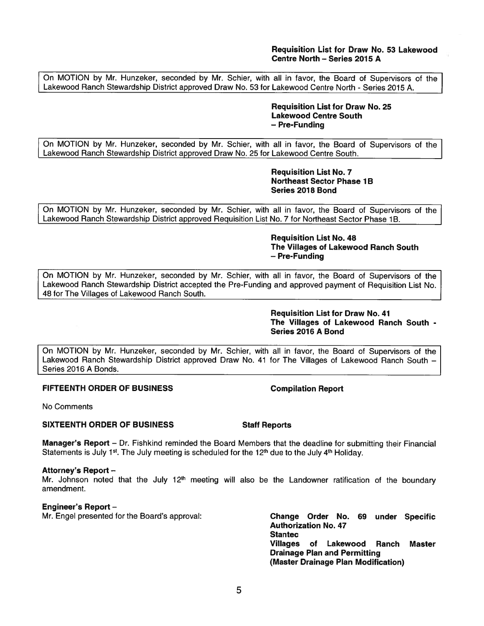# **Requisition List for Draw No. 53 Lakewood Centre North - Series 2015 A**

On MOTION by Mr. Hunzeker, seconded by Mr. Schier, with all in favor, the Board of Supervisors of the Lakewood Ranch Stewardship District approved Draw No. 53 for Lakewood Centre North - Series 2015 A.

> **Requisition List for Draw No. 25 Lakewood Centre South**  - **Pre-Funding**

On MOTION by Mr. Hunzeker, seconded by Mr. Schier, with all in favor, the Board of Supervisors of the Lakewood Ranch Stewardship District approved Draw No. 25 for Lakewood Centre South.

> **Requisition List No. 7 Northeast Sector Phase 1B Series 2018 Bond**

On MOTION by Mr. Hunzeker, seconded by Mr. Schier, with all in favor, the Board of Supervisors of the Lakewood Ranch Stewardship District approved Requisition List No. 7 for Northeast Sector Phase 1B.

> **Requisition List No. 48 The Villages of Lakewood Ranch South**  - **Pre-Funding**

On MOTION by Mr. Hunzeker, seconded by Mr. Schier, with all in favor, the Board of Supervisors of the Lakewood Ranch Stewardship District accepted the Pre-Funding and approved payment of Requisition List No. 48 for The Villages of Lakewood Ranch South.

> **Requisition List for Draw No. 41 The Villages of Lakewood Ranch South** - **Series 2016 A Bond**

On MOTION by Mr. Hunzeker, seconded by Mr. Schier, with all in favor, the Board of Supervisors of the Lakewood Ranch Stewardship District approved Draw No. 41 for The Villages of Lakewood Ranch South -Series 2016 **A** Bonds.

# **FIFTEENTH ORDER OF BUSINESS Compilation Report**

No Comments

# **SIXTEENTH ORDER OF BUSINESS Staff Reports**

**Manager's Report** - Dr. Fishkind reminded the Board Members that the deadline for submitting their Financial Statements is July 1<sup>st</sup>. The July meeting is scheduled for the 12<sup>th</sup> due to the July 4<sup>th</sup> Holiday.

# **Attorney's Report** -

Mr. Johnson noted that the July 12<sup>th</sup> meeting will also be the Landowner ratification of the boundary amendment.

# **Engineer's Report** -

Mr. Engel presented for the Board's approval: **Change Order No. 69 under Specific** 

**Authorization No. 47 Stantec Villages of Lakewood Ranch Master Drainage Plan and Permitting (Master Drainage Plan Modification)**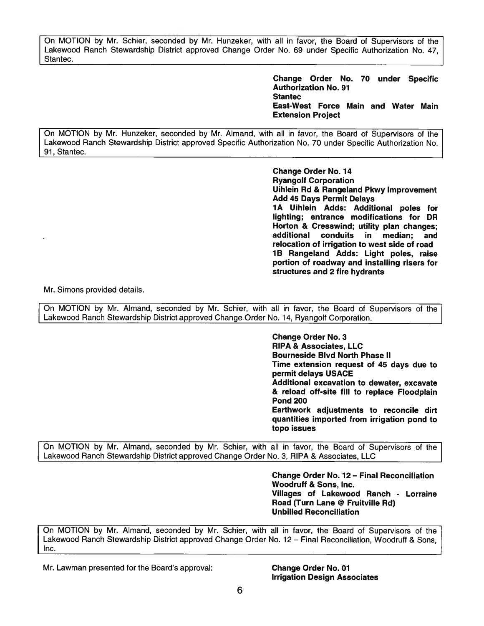On MOTION by Mr. Schier, seconded by Mr. Hunzeker, with all in favor, the Board of Supervisors of the Lakewood Ranch Stewardship District approved Change Order No. 69 under Specific Authorization No. 47, Stantec.

> **Change Order No. 70 under Specific Authorization No. 91 Stantec East-West Force Main and Water Main Extension Project**

On MOTION by Mr. Hunzeker, seconded by Mr. Almand, with all in favor, the Board of Supervisors of the Lakewood Ranch Stewardship District approved Specific Authorization No. 70 under Specific Authorization No. 91, Stantec.

> **Change Order No. 14 Ryangolf Corporation Uihlein Rd** & **Rangeland Pkwy Improvement Add 45 Days Permit Delays 1 A Uihlein Adds: Additional poles for lighting; entrance modifications for DR Horton** & **Cresswind; utility plan changes; additional conduits in median; and relocation of irrigation to west side of road 1 B Rangeland Adds: Light poles, raise portion of roadway and installing risers for structures and 2 fire hydrants**

Mr. Simons provided details.

On MOTION by Mr. Almand, seconded by Mr. Schier, with all in favor, the Board of Supervisors of the Lakewood Ranch Stewardship District approved Change Order No. 14, Ryangolf Corporation.

> **Change Order No. 3 RIPA** & **Associates, LLC Bourneside Blvd North Phase** II **Time extension request of 45 days due to permit delays USACE Additional excavation to dewater, excavate**  & **reload off-site fill to replace Floodplain Pond 200 Earthwork adjustments to reconcile dirt**

> **quantities imported from irrigation pond to topo issues**

On MOTION by Mr. Almand, seconded by Mr. Schier, with all in favor, the Board of Supervisors of the Lakewood Ranch Stewardship District approved Change Order No. 3, RIPA & Associates, LLC

> **Change Order No. 12- Final Reconciliation Woodruff** & **Sons, Inc. Villages of Lakewood Ranch** - **Lorraine Road (Turn Lane** @ **Fruitville Rd) Unbilled Reconciliation**

On MOTION by Mr. Almand, seconded by Mr. Schier, with all in favor, the Board of Supervisors of the Lakewood Ranch Stewardship District approved Change Order No. 12 - Final Reconciliation, Woodruff & Sons, Inc.

Mr. Lawman presented for the Board's approval: **Change Order No. 01** 

**Irrigation Design Associates**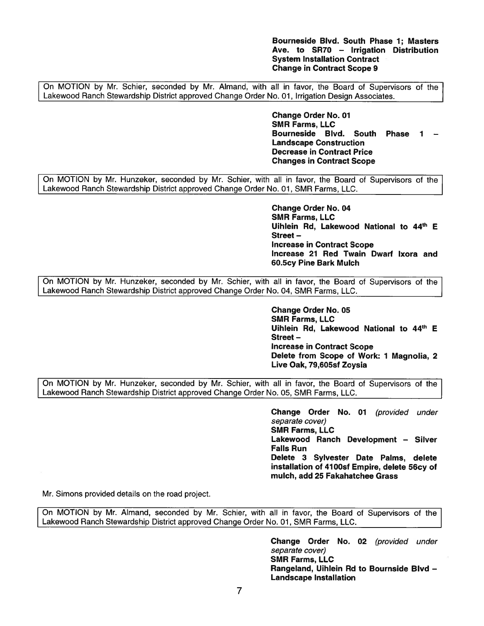**Bourneside Blvd. South Phase 1**; **Masters**  Ave. to SR70 - **Irrigation Distribution System Installation Contract Change in Contract Scope 9** 

On MOTION by Mr. Schier, seconded by Mr. Almand, with all in favor, the Board of Supervisors of the Lakewood Ranch Stewardship District approved Change Order No. 01, Irrigation Design Associates.

> **Change Order No. 01 SMR Farms, LLC Bourneside Blvd. South Phase 1** - **Landscape Construction Decrease in Contract Price Changes in Contract Scope**

On MOTION by Mr. Hunzeker, seconded by Mr. Schier, with all in favor, the Board of Supervisors of the Lakewood Ranch Stewardship District approved Change Order No. 01, SMR Farms, LLC.

> **Change Order No. 04 SMR Farms, LLC 44 Uihlein Rd, Lakewood National th to E Street-Increase in Contract Scope Increase 21 Red Twain Dwarf lxora and 60.5cy Pine Bark Mulch**

On MOTION by Mr. Hunzeker, seconded by Mr. Schier, with all in favor, the Board of Supervisors of the Lakewood Ranch Stewardship District approved Change Order No. 04, SMR Farms, LLC.

> **Change Order No. 05 SMR Farms, LLC 44 Uihlein Rd, Lakewood National th to E Street-Increase in Contract Scope Delete from Scope of Work: 1 Magnolia, 2 Live Oak, 79,605sf Zoysia**

On MOTION by Mr. Hunzeker, seconded by Mr. Schier, with all in favor, the Board of Supervisors of the Lakewood Ranch Stewardship District approved Change Order No. 05, SMR Farms, LLC.

> **Change Order No. 01** (provided under separate cover) **SMR Farms, LLC Lakewood Ranch Development** - **Silver Falls Run Delete 3 Sylvester Date Palms, delete installation of 4100sf Empire, delete 56cy of mulch, add 25 Fakahatchee Grass**

Mr. Simons provided details on the road project.

On MOTION by Mr. Almand, seconded by Mr. Schier, with all in favor, the Board of Supervisors of the Lakewood Ranch Stewardship District approved Change Order No. 01, SMR Farms, LLC.

> **Change Order No. 02** (provided under separate cover) **SMR Farms, LLC Rangeland, Uihlein Rd to Bournside Blvd** - **Landscape Installation**